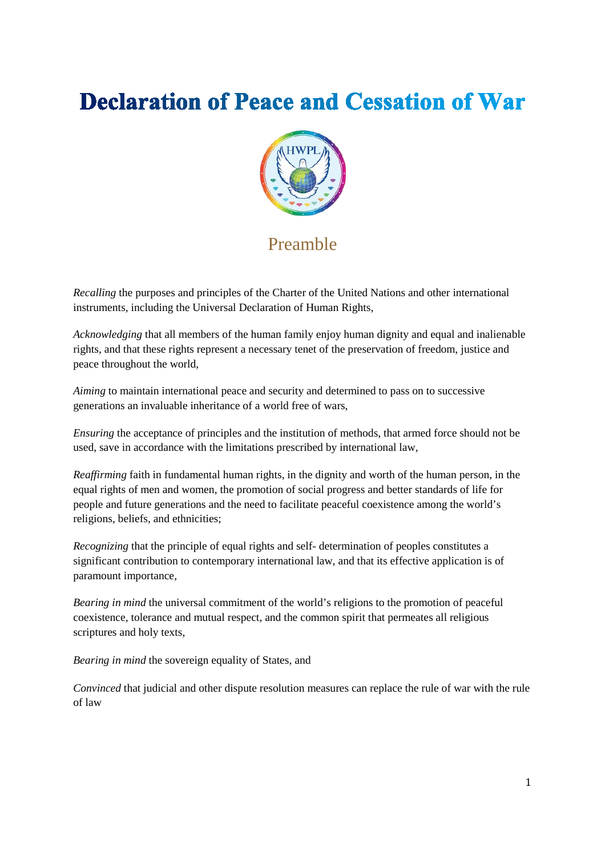# **Declaration of Peace and Cessation of War**



## Preamble

*Recalling* the purposes and principles of the Charter of the United Nations and other international instruments, including the Universal Declaration of Human Rights,

*Acknowledging* that all members of the human family enjoy human dignity and equal and inalienable rights, and that these rights represent a necessary tenet of the preservation of freedom, justice and peace throughout the world,

*Aiming* to maintain international peace and security and determined to pass on to successive generations an invaluable inheritance of a world free of wars,

*Ensuring* the acceptance of principles and the institution of methods, that armed force should not be used, save in accordance with the limitations prescribed by international law,

*Reaffirming* faith in fundamental human rights, in the dignity and worth of the human person, in the equal rights of men and women, the promotion of social progress and better standards of life for people and future generations and the need to facilitate peaceful coexistence among the world's religions, beliefs, and ethnicities;

*Recognizing* that the principle of equal rights and self- determination of peoples constitutes a significant contribution to contemporary international law, and that its effective application is of paramount importance,

*Bearing in mind* the universal commitment of the world's religions to the promotion of peaceful coexistence, tolerance and mutual respect, and the common spirit that permeates all religious scriptures and holy texts,

*Bearing in mind* the sovereign equality of States, and

*Convinced* that judicial and other dispute resolution measures can replace the rule of war with the rule of law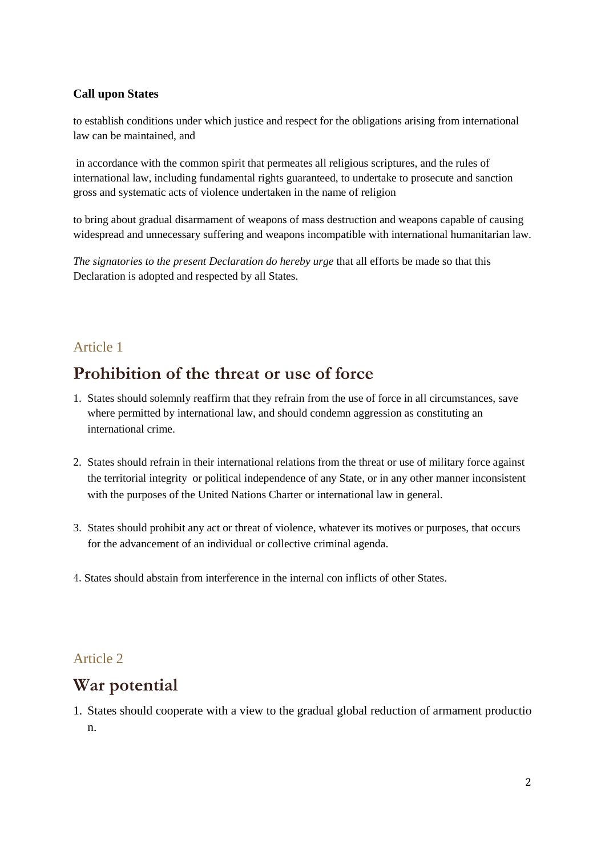#### **Call upon States**

to establish conditions under which justice and respect for the obligations arising from international law can be maintained, and

in accordance with the common spirit that permeates all religious scriptures, and the rules of international law, including fundamental rights guaranteed, to undertake to prosecute and sanction gross and systematic acts of violence undertaken in the name of religion

to bring about gradual disarmament of weapons of mass destruction and weapons capable of causing widespread and unnecessary suffering and weapons incompatible with international humanitarian law.

*The signatories to the present Declaration do hereby urge* that all efforts be made so that this Declaration is adopted and respected by all States.

#### Article 1

### **Prohibition of the threat or use of force**

- 1. States should solemnly reaffirm that they refrain from the use of force in all circumstances, save where permitted by international law, and should condemn aggression as constituting an international crime.
- 2. States should refrain in their international relations from the threat or use of military force against the territorial integrity or political independence of any State, or in any other manner inconsistent with the purposes of the United Nations Charter or international law in general.
- 3. States should prohibit any act or threat of violence, whatever its motives or purposes, that occurs for the advancement of an individual or collective criminal agenda.
- 4.States should abstain from interference in the internal con inflicts of other States.

#### Article 2

### **War potential**

1. States should cooperate with a view to the gradual global reduction of armament productio n.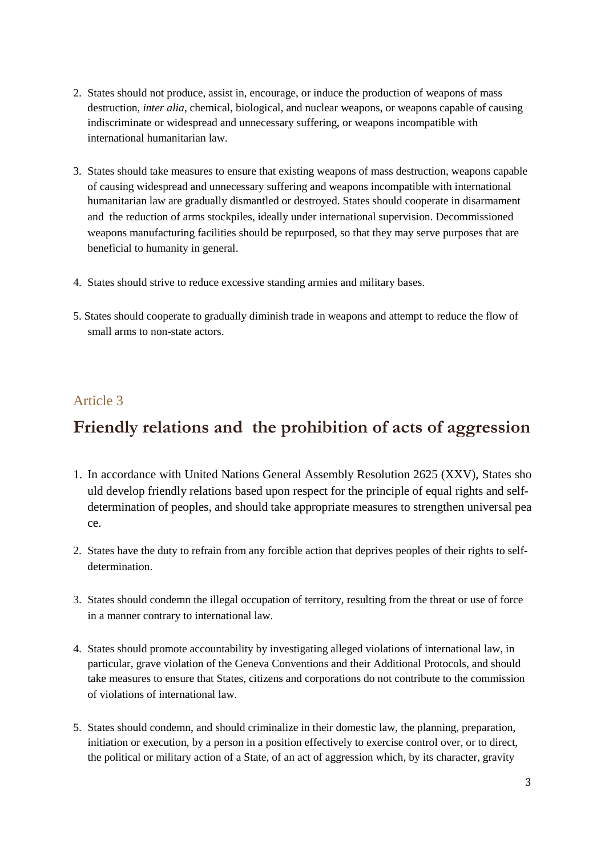- 2. States should not produce, assist in, encourage, or induce the production of weapons of mass destruction, *inter alia*, chemical, biological, and nuclear weapons, or weapons capable of causing indiscriminate or widespread and unnecessary suffering, or weapons incompatible with international humanitarian law.
- 3. States should take measures to ensure that existing weapons of mass destruction, weapons capable of causing widespread and unnecessary suffering and weapons incompatible with international humanitarian law are gradually dismantled or destroyed. States should cooperate in disarmament and the reduction of arms stockpiles, ideally under international supervision. Decommissioned weapons manufacturing facilities should be repurposed, so that they may serve purposes that are beneficial to humanity in general.
- 4. States should strive to reduce excessive standing armies and military bases.
- 5. States should cooperate to gradually diminish trade in weapons and attempt to reduce the flow of small arms to non-state actors.

#### Article 3

# **Friendly relations and the prohibition of acts of aggression**

- 1. In accordance with United Nations General Assembly Resolution 2625 (XXV), States sho uld develop friendly relations based upon respect for the principle of equal rights and selfdetermination of peoples, and should take appropriate measures to strengthen universal pea ce.
- 2. States have the duty to refrain from any forcible action that deprives peoples of their rights to selfdetermination.
- 3. States should condemn the illegal occupation of territory, resulting from the threat or use of force in a manner contrary to international law.
- 4. States should promote accountability by investigating alleged violations of international law, in particular, grave violation of the Geneva Conventions and their Additional Protocols, and should take measures to ensure that States, citizens and corporations do not contribute to the commission of violations of international law.
- 5. States should condemn, and should criminalize in their domestic law, the planning, preparation, initiation or execution, by a person in a position effectively to exercise control over, or to direct, the political or military action of a State, of an act of aggression which, by its character, gravity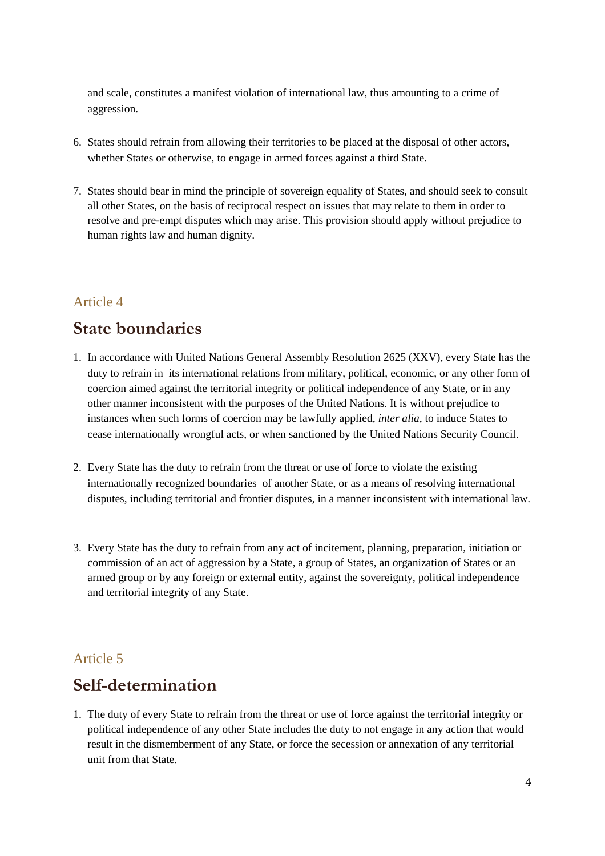and scale, constitutes a manifest violation of international law, thus amounting to a crime of aggression.

- 6. States should refrain from allowing their territories to be placed at the disposal of other actors, whether States or otherwise, to engage in armed forces against a third State.
- 7. States should bear in mind the principle of sovereign equality of States, and should seek to consult all other States, on the basis of reciprocal respect on issues that may relate to them in order to resolve and pre-empt disputes which may arise. This provision should apply without prejudice to human rights law and human dignity.

### Article 4

## **State boundaries**

- 1. In accordance with United Nations General Assembly Resolution 2625 (XXV), every State has the duty to refrain in its international relations from military, political, economic, or any other form of coercion aimed against the territorial integrity or political independence of any State, or in any other manner inconsistent with the purposes of the United Nations. It is without prejudice to instances when such forms of coercion may be lawfully applied, *inter alia*, to induce States to cease internationally wrongful acts, or when sanctioned by the United Nations Security Council.
- 2. Every State has the duty to refrain from the threat or use of force to violate the existing internationally recognized boundaries of another State, or as a means of resolving international disputes, including territorial and frontier disputes, in a manner inconsistent with international law.
- 3. Every State has the duty to refrain from any act of incitement, planning, preparation, initiation or commission of an act of aggression by a State, a group of States, an organization of States or an armed group or by any foreign or external entity, against the sovereignty, political independence and territorial integrity of any State.

### Article 5

## **Self-determination**

1. The duty of every State to refrain from the threat or use of force against the territorial integrity or political independence of any other State includes the duty to not engage in any action that would result in the dismemberment of any State, or force the secession or annexation of any territorial unit from that State.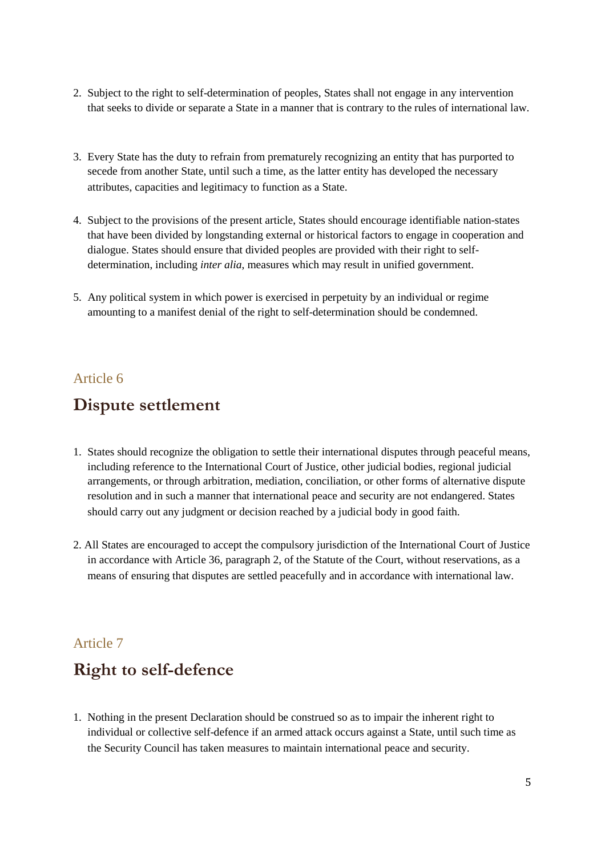- 2. Subject to the right to self-determination of peoples, States shall not engage in any intervention that seeks to divide or separate a State in a manner that is contrary to the rules of international law.
- 3. Every State has the duty to refrain from prematurely recognizing an entity that has purported to secede from another State, until such a time, as the latter entity has developed the necessary attributes, capacities and legitimacy to function as a State.
- 4. Subject to the provisions of the present article, States should encourage identifiable nation-states that have been divided by longstanding external or historical factors to engage in cooperation and dialogue. States should ensure that divided peoples are provided with their right to selfdetermination, including *inter alia*, measures which may result in unified government.
- 5. Any political system in which power is exercised in perpetuity by an individual or regime amounting to a manifest denial of the right to self-determination should be condemned.

#### Article 6

### **Dispute settlement**

- 1. States should recognize the obligation to settle their international disputes through peaceful means, including reference to the International Court of Justice, other judicial bodies, regional judicial arrangements, or through arbitration, mediation, conciliation, or other forms of alternative dispute resolution and in such a manner that international peace and security are not endangered. States should carry out any judgment or decision reached by a judicial body in good faith.
- 2. All States are encouraged to accept the compulsory jurisdiction of the International Court of Justice in accordance with Article 36, paragraph 2, of the Statute of the Court, without reservations, as a means of ensuring that disputes are settled peacefully and in accordance with international law.

#### Article 7

# **Right to self-defence**

1. Nothing in the present Declaration should be construed so as to impair the inherent right to individual or collective self-defence if an armed attack occurs against a State, until such time as the Security Council has taken measures to maintain international peace and security.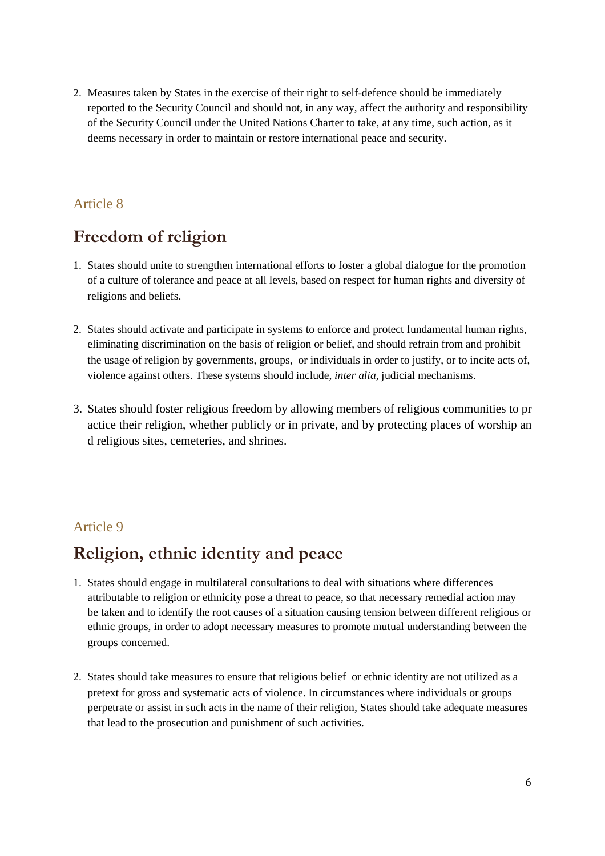2. Measures taken by States in the exercise of their right to self-defence should be immediately reported to the Security Council and should not, in any way, affect the authority and responsibility of the Security Council under the United Nations Charter to take, at any time, such action, as it deems necessary in order to maintain or restore international peace and security.

### Article 8

# **Freedom of religion**

- 1. States should unite to strengthen international efforts to foster a global dialogue for the promotion of a culture of tolerance and peace at all levels, based on respect for human rights and diversity of religions and beliefs.
- 2. States should activate and participate in systems to enforce and protect fundamental human rights, eliminating discrimination on the basis of religion or belief, and should refrain from and prohibit the usage of religion by governments, groups, or individuals in order to justify, or to incite acts of, violence against others. These systems should include, *inter alia*, judicial mechanisms.
- 3. States should foster religious freedom by allowing members of religious communities to pr actice their religion, whether publicly or in private, and by protecting places of worship an d religious sites, cemeteries, and shrines.

### Article 9

## **Religion, ethnic identity and peace**

- 1. States should engage in multilateral consultations to deal with situations where differences attributable to religion or ethnicity pose a threat to peace, so that necessary remedial action may be taken and to identify the root causes of a situation causing tension between different religious or ethnic groups, in order to adopt necessary measures to promote mutual understanding between the groups concerned.
- 2. States should take measures to ensure that religious belief or ethnic identity are not utilized as a pretext for gross and systematic acts of violence. In circumstances where individuals or groups perpetrate or assist in such acts in the name of their religion, States should take adequate measures that lead to the prosecution and punishment of such activities.